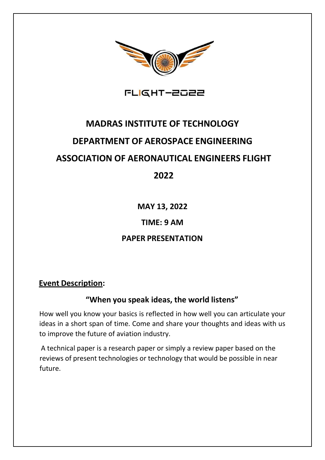

FLIGHT-2022

# **MADRAS INSTITUTE OF TECHNOLOGY DEPARTMENT OF AEROSPACE ENGINEERING ASSOCIATION OF AERONAUTICAL ENGINEERS FLIGHT 2022**

**MAY 13, 2022**

### **TIME: 9 AM**

## **PAPER PRESENTATION**

#### **Event Description:**

#### **"When you speak ideas, the world listens"**

How well you know your basics is reflected in how well you can articulate your ideas in a short span of time. Come and share your thoughts and ideas with us to improve the future of aviation industry.

A technical paper is a research paper or simply a review paper based on the reviews of present technologies or technology that would be possible in near future.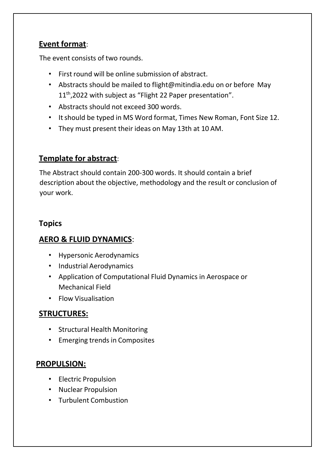## **Event format**:

The event consists of two rounds.

- First round will be online submission of abstract.
- Abstracts should be mailed to [flight@mitindia.edu](mailto:flight@mitindia.edu) on or before May 11<sup>th</sup>,2022 with subject as "Flight 22 Paper presentation".
- Abstracts should not exceed 300 words.
- Itshould be typed in MS Word format, Times New Roman, Font Size 12.
- They must present their ideas on May 13th at 10 AM.

## **Template for abstract**:

The Abstract should contain 200-300 words. It should contain a brief description about the objective, methodology and the result or conclusion of your work.

### **Topics**

## **AERO & FLUID DYNAMICS**:

- Hypersonic Aerodynamics
- Industrial Aerodynamics
- Application of Computational Fluid Dynamics in Aerospace or Mechanical Field
- Flow Visualisation

## **STRUCTURES:**

- Structural Health Monitoring
- Emerging trends in Composites

#### **PROPULSION:**

- Electric Propulsion
- Nuclear Propulsion
- Turbulent Combustion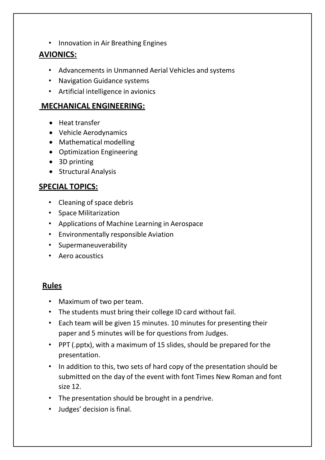• Innovation in Air Breathing Engines

### **AVIONICS:**

- Advancements in Unmanned Aerial Vehicles and systems
- Navigation Guidance systems
- Artificial intelligence in avionics

#### **MECHANICAL ENGINEERING:**

- Heat transfer
- Vehicle Aerodynamics
- Mathematical modelling
- Optimization Engineering
- 3D printing
- Structural Analysis

### **SPECIAL TOPICS:**

- Cleaning of space debris
- Space Militarization
- Applications of Machine Learning in Aerospace
- Environmentally responsible Aviation
- Supermaneuverability
- Aero acoustics

#### **Rules**

- Maximum of two per team.
- The students must bring their college ID card without fail.
- Each team will be given 15 minutes. 10 minutes for presenting their paper and 5 minutes will be for questions from Judges.
- PPT (.pptx), with a maximum of 15 slides, should be prepared for the presentation.
- In addition to this, two sets of hard copy of the presentation should be submitted on the day of the event with font Times New Roman and font size 12.
- The presentation should be brought in a pendrive.
- Judges' decision is final.